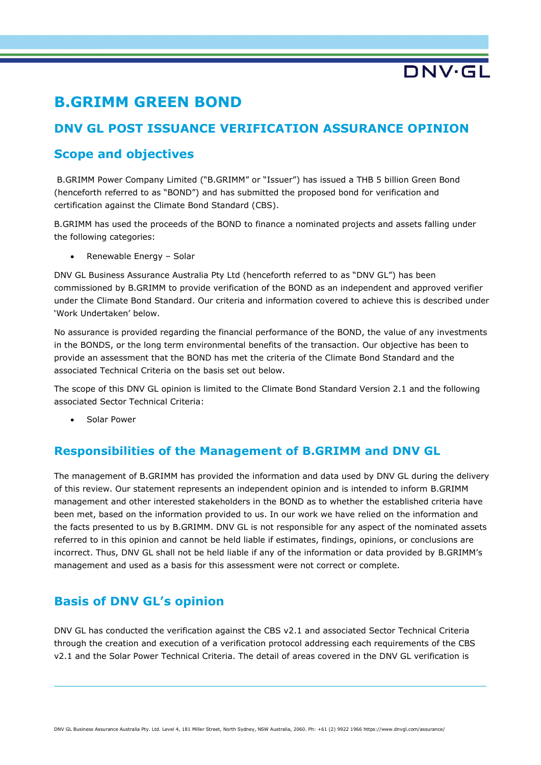$\n **D N**  $\sqrt{5}$$ 

# **B.GRIMM GREEN BOND**

# **DNV GL POST ISSUANCE VERIFICATION ASSURANCE OPINION**

## **Scope and objectives**

B.GRIMM Power Company Limited ("B.GRIMM" or "Issuer") has issued a THB 5 billion Green Bond (henceforth referred to as "BOND") and has submitted the proposed bond for verification and certification against the Climate Bond Standard (CBS).

B.GRIMM has used the proceeds of the BOND to finance a nominated projects and assets falling under the following categories:

• Renewable Energy – Solar

DNV GL Business Assurance Australia Pty Ltd (henceforth referred to as "DNV GL") has been commissioned by B.GRIMM to provide verification of the BOND as an independent and approved verifier under the Climate Bond Standard. Our criteria and information covered to achieve this is described under 'Work Undertaken' below.

No assurance is provided regarding the financial performance of the BOND, the value of any investments in the BONDS, or the long term environmental benefits of the transaction. Our objective has been to provide an assessment that the BOND has met the criteria of the Climate Bond Standard and the associated Technical Criteria on the basis set out below.

The scope of this DNV GL opinion is limited to the Climate Bond Standard Version 2.1 and the following associated Sector Technical Criteria:

• Solar Power

## **Responsibilities of the Management of B.GRIMM and DNV GL**

The management of B.GRIMM has provided the information and data used by DNV GL during the delivery of this review. Our statement represents an independent opinion and is intended to inform B.GRIMM management and other interested stakeholders in the BOND as to whether the established criteria have been met, based on the information provided to us. In our work we have relied on the information and the facts presented to us by B.GRIMM. DNV GL is not responsible for any aspect of the nominated assets referred to in this opinion and cannot be held liable if estimates, findings, opinions, or conclusions are incorrect. Thus, DNV GL shall not be held liable if any of the information or data provided by B.GRIMM's management and used as a basis for this assessment were not correct or complete.

# **Basis of DNV GL's opinion**

DNV GL has conducted the verification against the CBS v2.1 and associated Sector Technical Criteria through the creation and execution of a verification protocol addressing each requirements of the CBS v2.1 and the Solar Power Technical Criteria. The detail of areas covered in the DNV GL verification is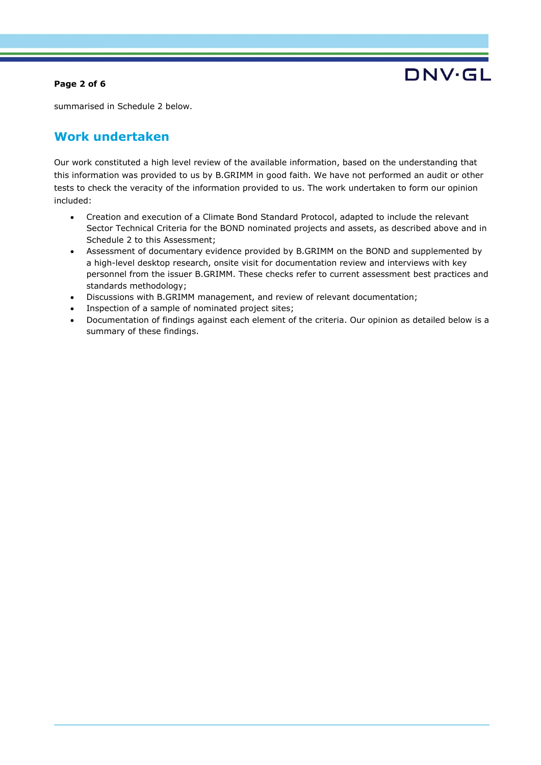### **Page 2 of 6**



summarised in Schedule 2 below.

# **Work undertaken**

Our work constituted a high level review of the available information, based on the understanding that this information was provided to us by B.GRIMM in good faith. We have not performed an audit or other tests to check the veracity of the information provided to us. The work undertaken to form our opinion included:

- Creation and execution of a Climate Bond Standard Protocol, adapted to include the relevant Sector Technical Criteria for the BOND nominated projects and assets, as described above and in Schedule 2 to this Assessment;
- Assessment of documentary evidence provided by B.GRIMM on the BOND and supplemented by a high-level desktop research, onsite visit for documentation review and interviews with key personnel from the issuer B.GRIMM. These checks refer to current assessment best practices and standards methodology;
- Discussions with B.GRIMM management, and review of relevant documentation;
- Inspection of a sample of nominated project sites;
- Documentation of findings against each element of the criteria. Our opinion as detailed below is a summary of these findings.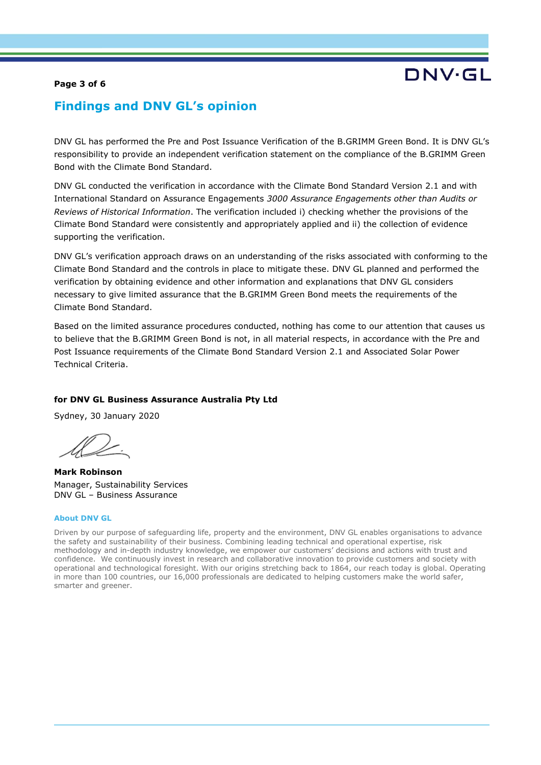### **Page 3 of 6**

# DNV·GL

## **Findings and DNV GL's opinion**

DNV GL has performed the Pre and Post Issuance Verification of the B.GRIMM Green Bond. It is DNV GL's responsibility to provide an independent verification statement on the compliance of the B.GRIMM Green Bond with the Climate Bond Standard.

DNV GL conducted the verification in accordance with the Climate Bond Standard Version 2.1 and with International Standard on Assurance Engagements *3000 Assurance Engagements other than Audits or Reviews of Historical Information*. The verification included i) checking whether the provisions of the Climate Bond Standard were consistently and appropriately applied and ii) the collection of evidence supporting the verification.

DNV GL's verification approach draws on an understanding of the risks associated with conforming to the Climate Bond Standard and the controls in place to mitigate these. DNV GL planned and performed the verification by obtaining evidence and other information and explanations that DNV GL considers necessary to give limited assurance that the B.GRIMM Green Bond meets the requirements of the Climate Bond Standard.

Based on the limited assurance procedures conducted, nothing has come to our attention that causes us to believe that the B.GRIMM Green Bond is not, in all material respects, in accordance with the Pre and Post Issuance requirements of the Climate Bond Standard Version 2.1 and Associated Solar Power Technical Criteria.

### **for DNV GL Business Assurance Australia Pty Ltd**

Sydney, 30 January 2020

**Mark Robinson** Manager, Sustainability Services DNV GL – Business Assurance

#### **About DNV GL**

Driven by our purpose of safeguarding life, property and the environment, DNV GL enables organisations to advance the safety and sustainability of their business. Combining leading technical and operational expertise, risk methodology and in-depth industry knowledge, we empower our customers' decisions and actions with trust and confidence. We continuously invest in research and collaborative innovation to provide customers and society with operational and technological foresight. With our origins stretching back to 1864, our reach today is global. Operating in more than 100 countries, our 16,000 professionals are dedicated to helping customers make the world safer, smarter and greener.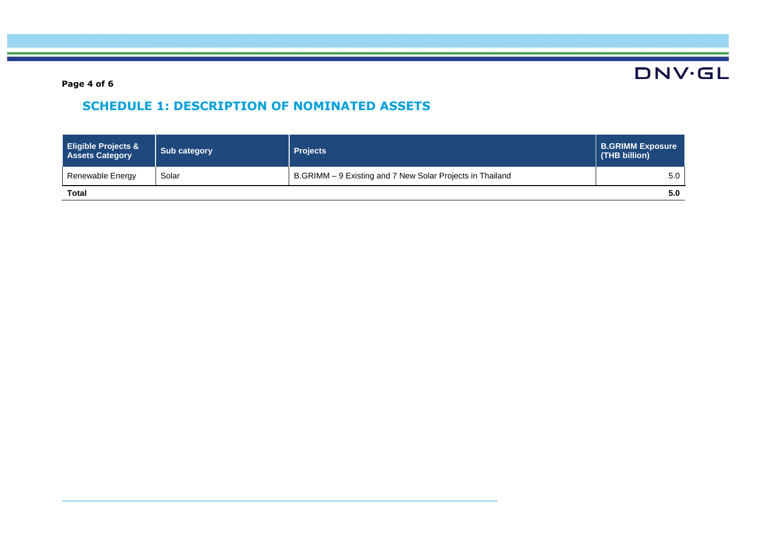**DNV·GL** 

**Page 4 of 6**

# **SCHEDULE 1: DESCRIPTION OF NOMINATED ASSETS**

| <b>Eligible Projects &amp;</b><br><b>Assets Category</b> | Sub category | <b>Projects</b>                                           | <b>B.GRIMM Exposure</b><br>(THB billion) |
|----------------------------------------------------------|--------------|-----------------------------------------------------------|------------------------------------------|
| Renewable Energy                                         | Solar        | B.GRIMM - 9 Existing and 7 New Solar Projects in Thailand | 5.0                                      |
| <b>Total</b>                                             |              |                                                           | 5.0                                      |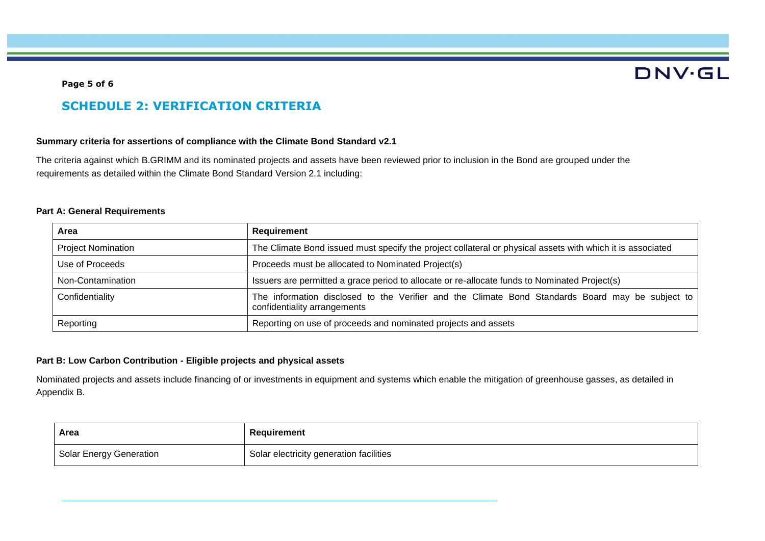# **DNV·GL**

#### **Page 5 of 6**

# **SCHEDULE 2: VERIFICATION CRITERIA**

### **Summary criteria for assertions of compliance with the Climate Bond Standard v2.1**

The criteria against which B.GRIMM and its nominated projects and assets have been reviewed prior to inclusion in the Bond are grouped under the requirements as detailed within the Climate Bond Standard Version 2.1 including:

### **Part A: General Requirements**

| Area                      | Requirement                                                                                                                      |
|---------------------------|----------------------------------------------------------------------------------------------------------------------------------|
| <b>Project Nomination</b> | The Climate Bond issued must specify the project collateral or physical assets with which it is associated                       |
| Use of Proceeds           | Proceeds must be allocated to Nominated Project(s)                                                                               |
| Non-Contamination         | Issuers are permitted a grace period to allocate or re-allocate funds to Nominated Project(s)                                    |
| Confidentiality           | The information disclosed to the Verifier and the Climate Bond Standards Board may be subject to<br>confidentiality arrangements |
| Reporting                 | Reporting on use of proceeds and nominated projects and assets                                                                   |

### **Part B: Low Carbon Contribution - Eligible projects and physical assets**

Nominated projects and assets include financing of or investments in equipment and systems which enable the mitigation of greenhouse gasses, as detailed in Appendix B.

| Area                    | Requirement                                          |
|-------------------------|------------------------------------------------------|
| Solar Energy Generation | <sup>1</sup> Solar electricity generation facilities |